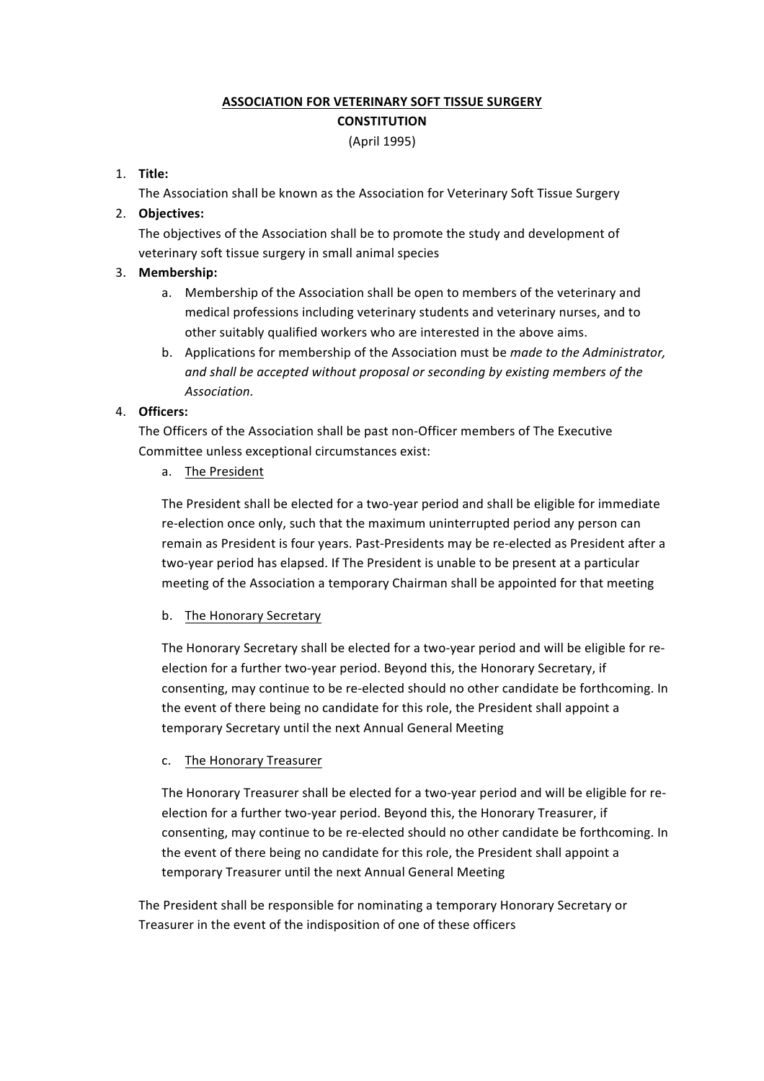# **ASSOCIATION FOR VETERINARY SOFT TISSUE SURGERY CONSTITUTION** (April 1995)

# 1. **Title:**

The Association shall be known as the Association for Veterinary Soft Tissue Surgery

# 2. **Objectives:**

The objectives of the Association shall be to promote the study and development of veterinary soft tissue surgery in small animal species

# 3. **Membership:**

- a. Membership of the Association shall be open to members of the veterinary and medical professions including veterinary students and veterinary nurses, and to other suitably qualified workers who are interested in the above aims.
- b. Applications for membership of the Association must be *made to the Administrator*, and shall be accepted without proposal or seconding by existing members of the *Association.*

# 4. **Officers:**

The Officers of the Association shall be past non-Officer members of The Executive Committee unless exceptional circumstances exist:

a. The President

The President shall be elected for a two-year period and shall be eligible for immediate re-election once only, such that the maximum uninterrupted period any person can remain as President is four years. Past-Presidents may be re-elected as President after a two-year period has elapsed. If The President is unable to be present at a particular meeting of the Association a temporary Chairman shall be appointed for that meeting

# b. The Honorary Secretary

The Honorary Secretary shall be elected for a two-year period and will be eligible for reelection for a further two-year period. Beyond this, the Honorary Secretary, if consenting, may continue to be re-elected should no other candidate be forthcoming. In the event of there being no candidate for this role, the President shall appoint a temporary Secretary until the next Annual General Meeting

#### c. The Honorary Treasurer

The Honorary Treasurer shall be elected for a two-year period and will be eligible for reelection for a further two-year period. Beyond this, the Honorary Treasurer, if consenting, may continue to be re-elected should no other candidate be forthcoming. In the event of there being no candidate for this role, the President shall appoint a temporary Treasurer until the next Annual General Meeting

The President shall be responsible for nominating a temporary Honorary Secretary or Treasurer in the event of the indisposition of one of these officers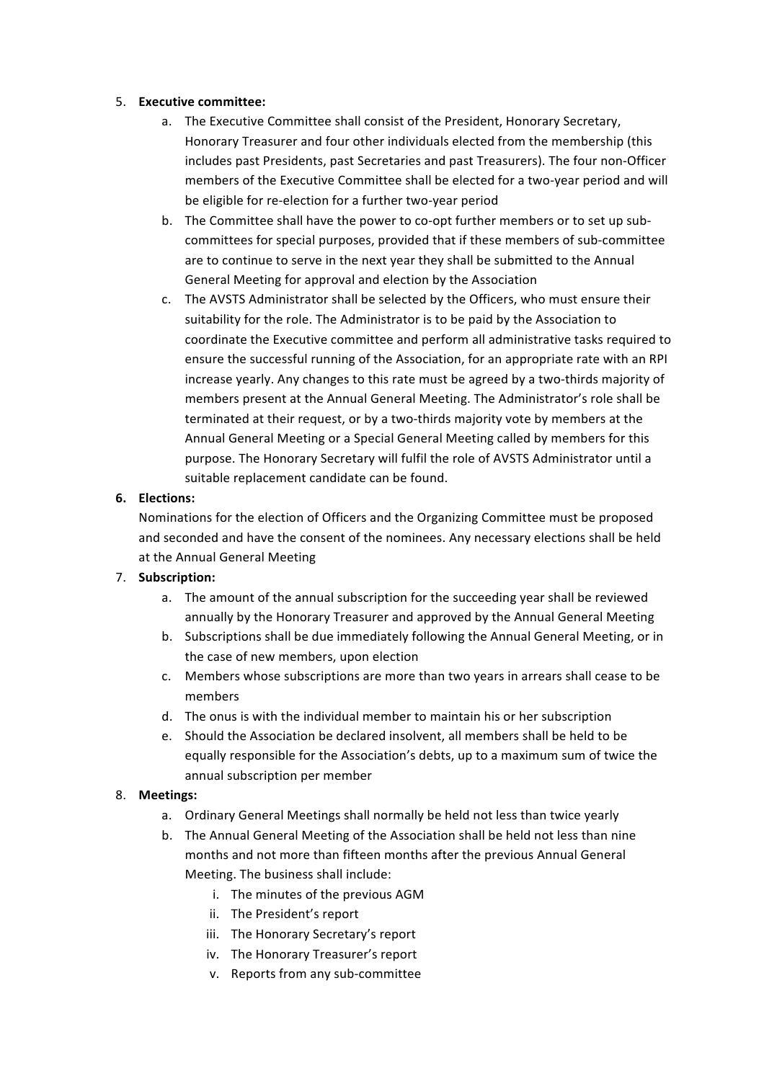#### 5. **Executive committee:**

- a. The Executive Committee shall consist of the President, Honorary Secretary, Honorary Treasurer and four other individuals elected from the membership (this includes past Presidents, past Secretaries and past Treasurers). The four non-Officer members of the Executive Committee shall be elected for a two-year period and will be eligible for re-election for a further two-year period
- b. The Committee shall have the power to co-opt further members or to set up subcommittees for special purposes, provided that if these members of sub-committee are to continue to serve in the next year they shall be submitted to the Annual General Meeting for approval and election by the Association
- c. The AVSTS Administrator shall be selected by the Officers, who must ensure their suitability for the role. The Administrator is to be paid by the Association to coordinate the Executive committee and perform all administrative tasks required to ensure the successful running of the Association, for an appropriate rate with an RPI increase yearly. Any changes to this rate must be agreed by a two-thirds majority of members present at the Annual General Meeting. The Administrator's role shall be terminated at their request, or by a two-thirds majority vote by members at the Annual General Meeting or a Special General Meeting called by members for this purpose. The Honorary Secretary will fulfil the role of AVSTS Administrator until a suitable replacement candidate can be found.

# **6. Elections:**

Nominations for the election of Officers and the Organizing Committee must be proposed and seconded and have the consent of the nominees. Any necessary elections shall be held at the Annual General Meeting

# 7. **Subscription:**

- a. The amount of the annual subscription for the succeeding year shall be reviewed annually by the Honorary Treasurer and approved by the Annual General Meeting
- b. Subscriptions shall be due immediately following the Annual General Meeting, or in the case of new members, upon election
- c. Members whose subscriptions are more than two years in arrears shall cease to be members
- d. The onus is with the individual member to maintain his or her subscription
- e. Should the Association be declared insolvent, all members shall be held to be equally responsible for the Association's debts, up to a maximum sum of twice the annual subscription per member

# 8. **Meetings:**

- a. Ordinary General Meetings shall normally be held not less than twice yearly
- b. The Annual General Meeting of the Association shall be held not less than nine months and not more than fifteen months after the previous Annual General Meeting. The business shall include:
	- i. The minutes of the previous AGM
	- ii. The President's report
	- iii. The Honorary Secretary's report
	- iv. The Honorary Treasurer's report
	- v. Reports from any sub-committee